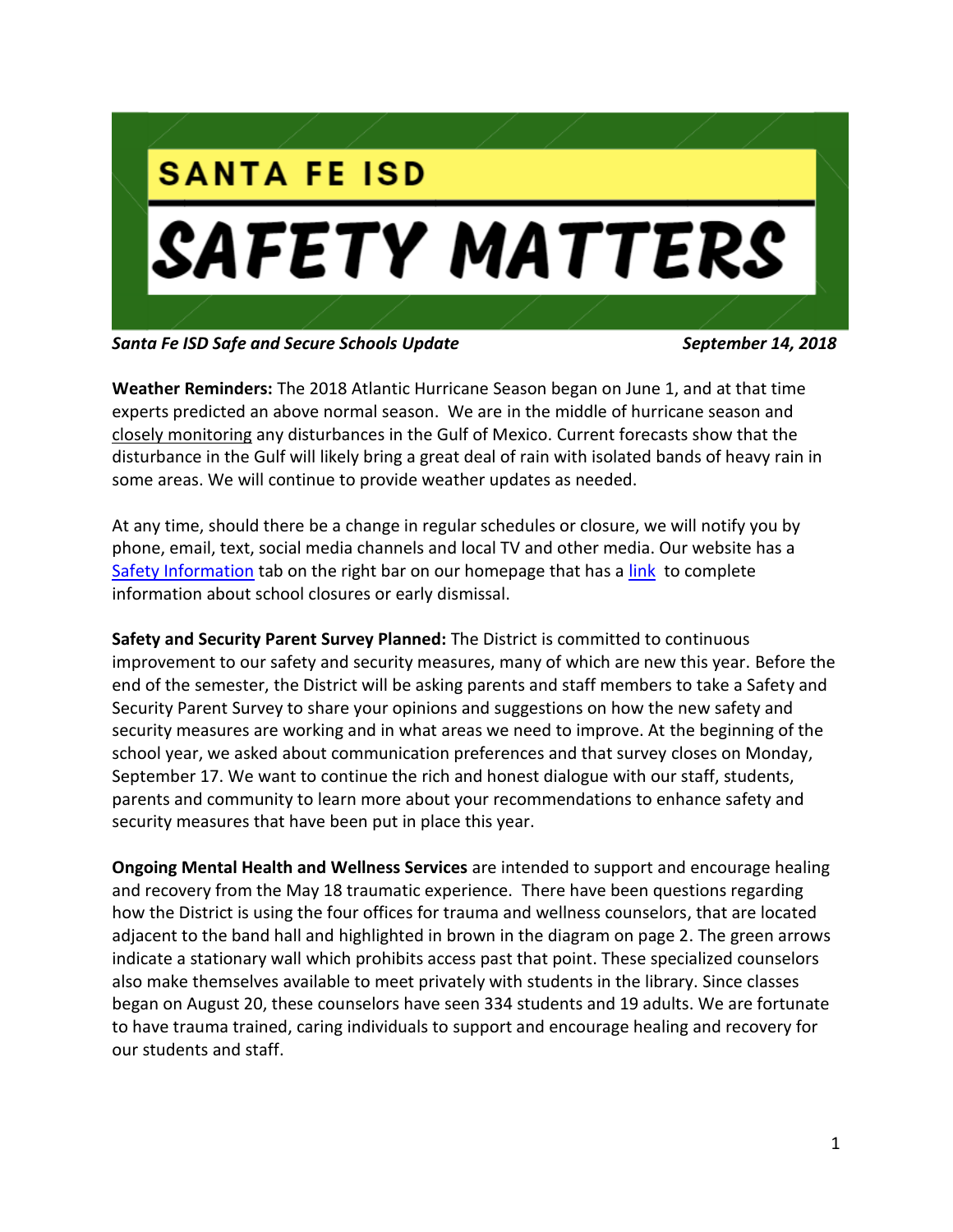

*Santa Fe ISD Safe and Secure Schools Update September 14, 2018*

**Weather Reminders:** The 2018 Atlantic Hurricane Season began on June 1, and at that time experts predicted an above normal season. We are in the middle of hurricane season and closely monitoring any disturbances in the Gulf of Mexico. Current forecasts show that the disturbance in the Gulf will likely bring a great deal of rain with isolated bands of heavy rain in some areas. We will continue to provide weather updates as needed.

At any time, should there be a change in regular schedules or closure, we will notify you by phone, email, text, social media channels and local TV and other media. Our website has a [Safety Information](https://tx02215329.schoolwires.net/Page/3337) tab on the right bar on our homepage that has a [link](https://tx02215329.schoolwires.net/Page/3469) to complete information about school closures or early dismissal.

**Safety and Security Parent Survey Planned:** The District is committed to continuous improvement to our safety and security measures, many of which are new this year. Before the end of the semester, the District will be asking parents and staff members to take a Safety and Security Parent Survey to share your opinions and suggestions on how the new safety and security measures are working and in what areas we need to improve. At the beginning of the school year, we asked about communication preferences and that survey closes on Monday, September 17. We want to continue the rich and honest dialogue with our staff, students, parents and community to learn more about your recommendations to enhance safety and security measures that have been put in place this year.

**Ongoing Mental Health and Wellness Services** are intended to support and encourage healing and recovery from the May 18 traumatic experience. There have been questions regarding how the District is using the four offices for trauma and wellness counselors, that are located adjacent to the band hall and highlighted in brown in the diagram on page 2. The green arrows indicate a stationary wall which prohibits access past that point. These specialized counselors also make themselves available to meet privately with students in the library. Since classes began on August 20, these counselors have seen 334 students and 19 adults. We are fortunate to have trauma trained, caring individuals to support and encourage healing and recovery for our students and staff.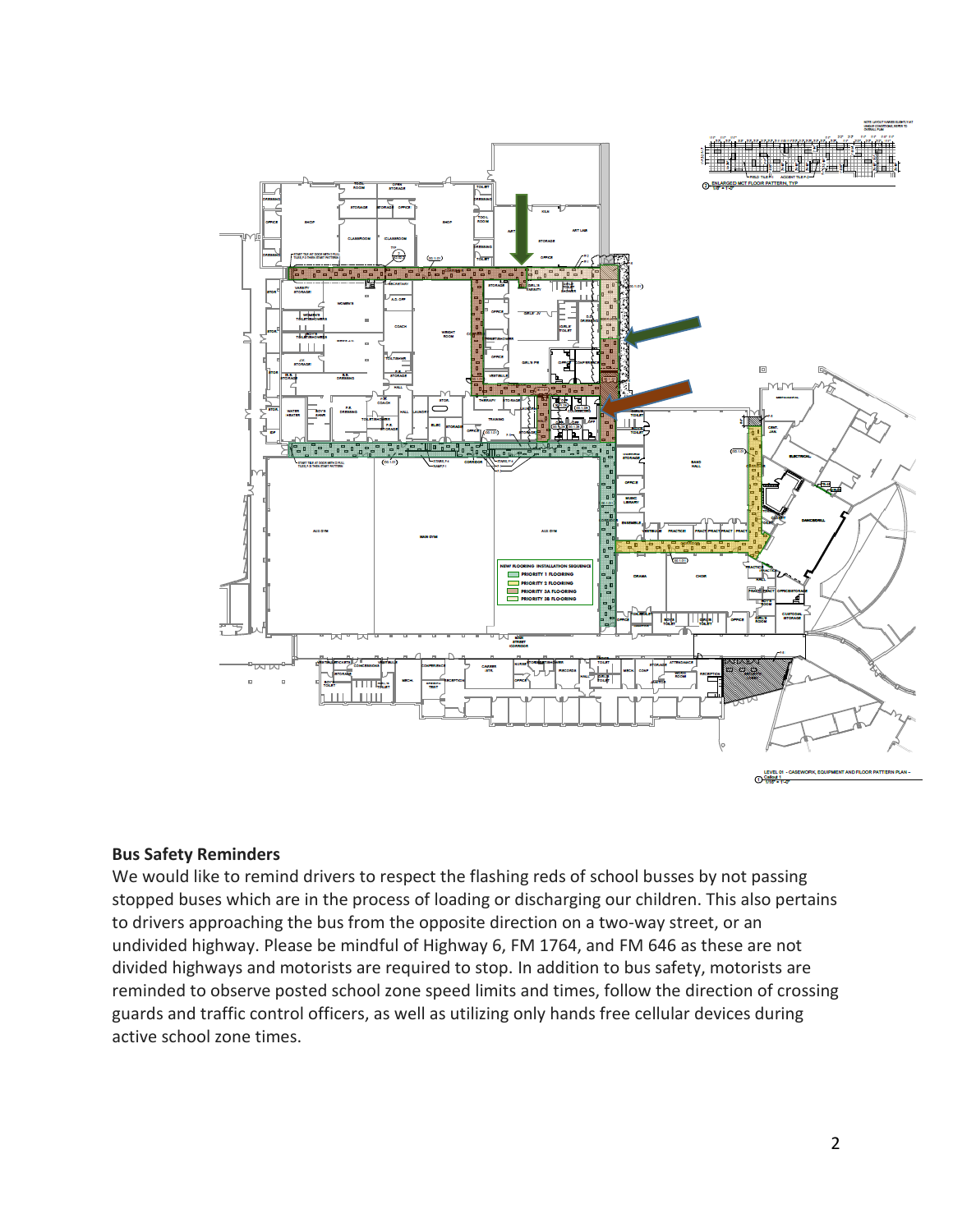

#### **Bus Safety Reminders**

We would like to remind drivers to respect the flashing reds of school busses by not passing stopped buses which are in the process of loading or discharging our children. This also pertains to drivers approaching the bus from the opposite direction on a two-way street, or an undivided highway. Please be mindful of Highway 6, FM 1764, and FM 646 as these are not divided highways and motorists are required to stop. In addition to bus safety, motorists are reminded to observe posted school zone speed limits and times, follow the direction of crossing guards and traffic control officers, as well as utilizing only hands free cellular devices during active school zone times.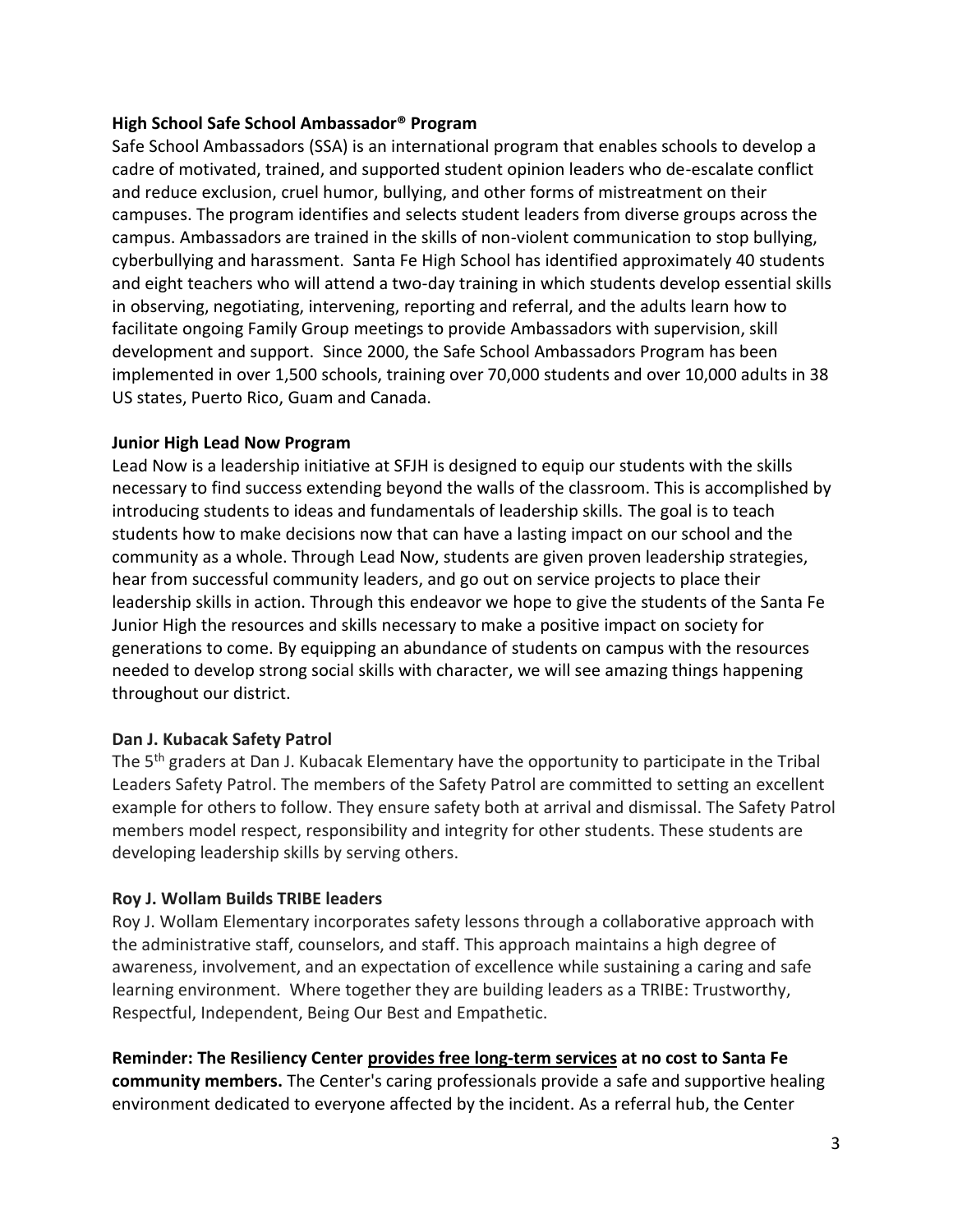#### **High School Safe School Ambassador® Program**

Safe School Ambassadors (SSA) is an international program that enables schools to develop a cadre of motivated, trained, and supported student opinion leaders who de-escalate conflict and reduce exclusion, cruel humor, bullying, and other forms of mistreatment on their campuses. The program identifies and selects student leaders from diverse groups across the campus. Ambassadors are trained in the skills of non-violent communication to stop bullying, cyberbullying and harassment. Santa Fe High School has identified approximately 40 students and eight teachers who will attend a two-day training in which students develop essential skills in observing, negotiating, intervening, reporting and referral, and the adults learn how to facilitate ongoing Family Group meetings to provide Ambassadors with supervision, skill development and support. Since 2000, the Safe School Ambassadors Program has been implemented in over 1,500 schools, training over 70,000 students and over 10,000 adults in 38 US states, Puerto Rico, Guam and Canada.

#### **Junior High Lead Now Program**

Lead Now is a leadership initiative at SFJH is designed to equip our students with the skills necessary to find success extending beyond the walls of the classroom. This is accomplished by introducing students to ideas and fundamentals of leadership skills. The goal is to teach students how to make decisions now that can have a lasting impact on our school and the community as a whole. Through Lead Now, students are given proven leadership strategies, hear from successful community leaders, and go out on service projects to place their leadership skills in action. Through this endeavor we hope to give the students of the Santa Fe Junior High the resources and skills necessary to make a positive impact on society for generations to come. By equipping an abundance of students on campus with the resources needed to develop strong social skills with character, we will see amazing things happening throughout our district.

# **Dan J. Kubacak Safety Patrol**

The 5<sup>th</sup> graders at Dan J. Kubacak Elementary have the opportunity to participate in the Tribal Leaders Safety Patrol. The members of the Safety Patrol are committed to setting an excellent example for others to follow. They ensure safety both at arrival and dismissal. The Safety Patrol members model respect, responsibility and integrity for other students. These students are developing leadership skills by serving others.

# **Roy J. Wollam Builds TRIBE leaders**

Roy J. Wollam Elementary incorporates safety lessons through a collaborative approach with the administrative staff, counselors, and staff. This approach maintains a high degree of awareness, involvement, and an expectation of excellence while sustaining a caring and safe learning environment. Where together they are building leaders as a TRIBE: Trustworthy, Respectful, Independent, Being Our Best and Empathetic.

**Reminder: The Resiliency Center provides free long-term services at no cost to Santa Fe community members.** The Center's caring professionals provide a safe and supportive healing environment dedicated to everyone affected by the incident. As a referral hub, the Center